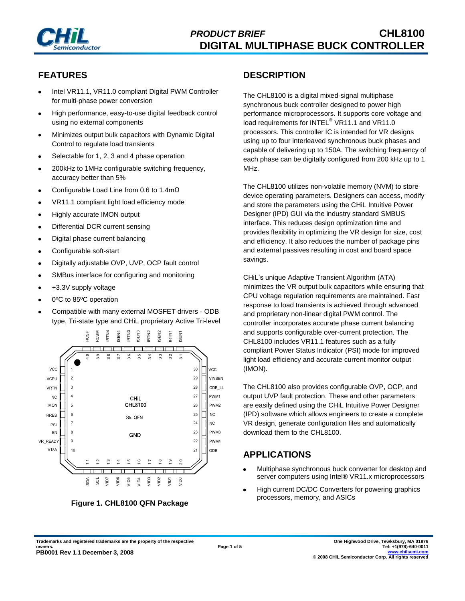

# **FEATURES**

- Intel VR11.1, VR11.0 compliant Digital PWM Controller for multi-phase power conversion
- High performance, easy-to-use digital feedback control using no external components
- Minimizes output bulk capacitors with Dynamic Digital Control to regulate load transients
- Selectable for 1, 2, 3 and 4 phase operation
- 200kHz to 1MHz configurable switching frequency, accuracy better than 5%
- Configurable Load Line from 0.6 to 1.4mΩ
- VR11.1 compliant light load efficiency mode
- Highly accurate IMON output  $\bullet$
- Differential DCR current sensing
- Digital phase current balancing
- Configurable soft-start
- Digitally adjustable OVP, UVP, OCP fault control
- SMBus interface for configuring and monitoring
- +3.3V supply voltage
- 0ºC to 85ºC operation
- Compatible with many external MOSFET drivers ODB type, Tri-state type and CHiL proprietary Active Tri-level



**Figure 1. CHL8100 QFN Package**

#### **DESCRIPTION**

The CHL8100 is a digital mixed-signal multiphase synchronous buck controller designed to power high performance microprocessors. It supports core voltage and load requirements for INTEL<sup>®</sup> VR11.1 and VR11.0 processors. This controller IC is intended for VR designs using up to four interleaved synchronous buck phases and capable of delivering up to 150A. The switching frequency of each phase can be digitally configured from 200 kHz up to 1 MHz.

The CHL8100 utilizes non-volatile memory (NVM) to store device operating parameters. Designers can access, modify and store the parameters using the CHiL Intuitive Power Designer (IPD) GUI via the industry standard SMBUS interface. This reduces design optimization time and provides flexibility in optimizing the VR design for size, cost and efficiency. It also reduces the number of package pins and external passives resulting in cost and board space savings.

CHiL's unique Adaptive Transient Algorithm (ATA) minimizes the VR output bulk capacitors while ensuring that CPU voltage regulation requirements are maintained. Fast response to load transients is achieved through advanced and proprietary non-linear digital PWM control. The controller incorporates accurate phase current balancing and supports configurable over-current protection. The CHL8100 includes VR11.1 features such as a fully compliant Power Status Indicator (PSI) mode for improved light load efficiency and accurate current monitor output (IMON).

The CHL8100 also provides configurable OVP, OCP, and output UVP fault protection. These and other parameters are easily defined using the CHiL Intuitive Power Designer (IPD) software which allows engineers to create a complete VR design, generate configuration files and automatically download them to the CHL8100.

### **APPLICATIONS**

- Multiphase synchronous buck converter for desktop and  $\bullet$ server computers using Intel® VR11.x microprocessors
- High current DC/DC Converters for powering graphics processors, memory, and ASICs

**Trademarks and registered trademarks are the property of the respective owners. PB0001 Rev 1.1 December 3, 2008**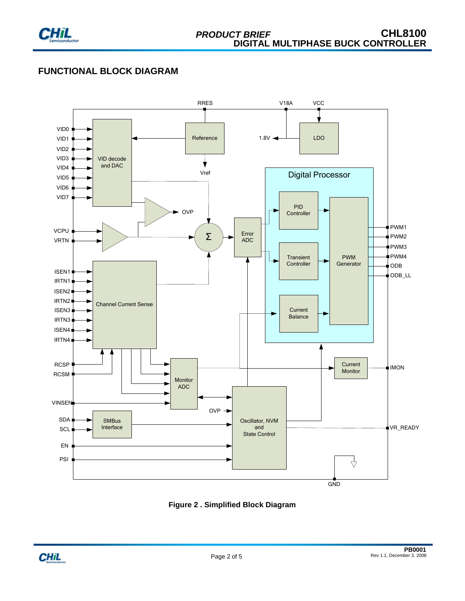

### **FUNCTIONAL BLOCK DIAGRAM**



**Figure 2 . Simplified Block Diagram**

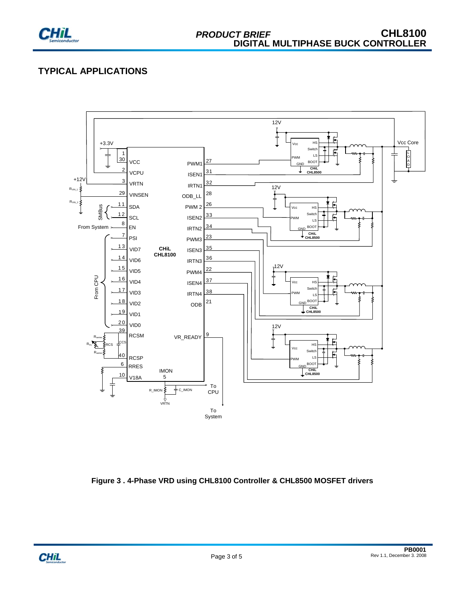

# **TYPICAL APPLICATIONS**



**Figure 3 . 4-Phase VRD using CHL8100 Controller & CHL8500 MOSFET drivers**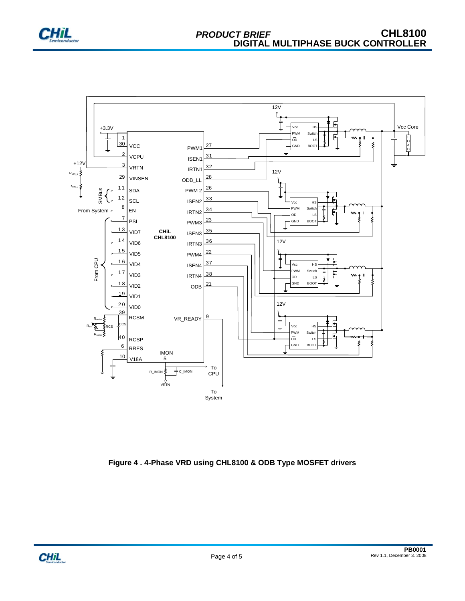



**Figure 4 . 4-Phase VRD using CHL8100 & ODB Type MOSFET drivers**